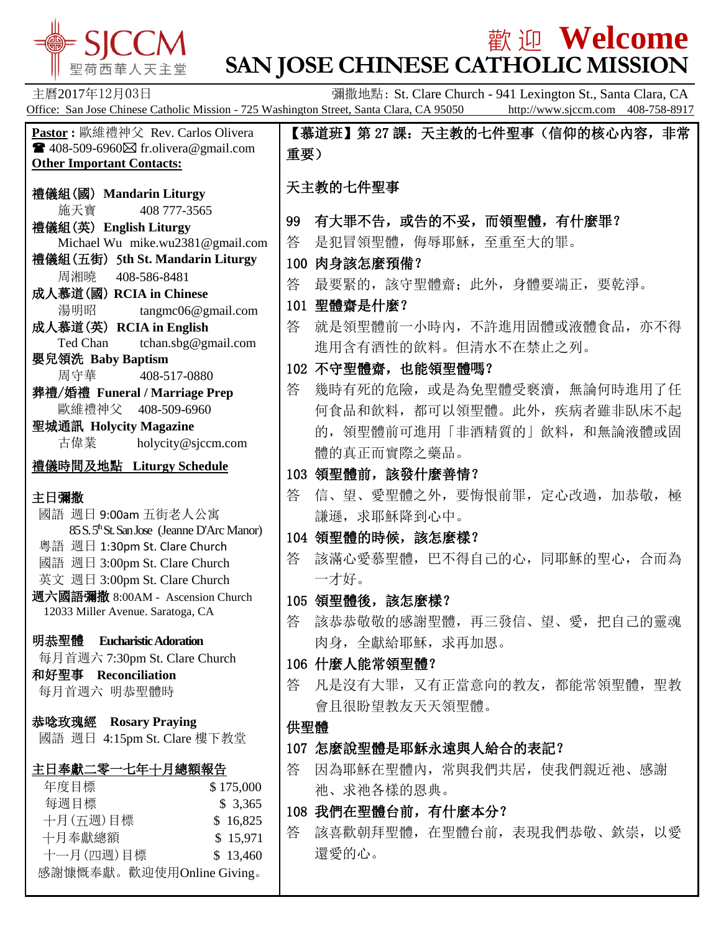

## **歡迎 Welcome SAN JOSE CHINESE CATHOLIC MISSION**

主曆2017年12月03日 **Example 2017年12月03日** 零職撤地點: St. Clare Church - 941 Lexington St., Santa Clara, CA Office: San Jose Chinese Catholic Mission - 725 Washington Street, Santa Clara, CA 95050 http://www.sjccm.com 408-758-8917 **Pastor :** 歐維禮神父 Rev. Carlos Olivera  $\blacksquare$  408-509-6960 $\boxtimes$  fr.olivera@gmail.com **Other Important Contacts:** 禮儀組(國) **Mandarin Liturgy** 施天寶 408 777-3565 禮儀組(英) **English Liturgy** Michael Wu mike.wu2381@gmail.com 禮儀組(五街) 5**th St. Mandarin Liturgy** 周湘曉 408-586-8481 成人慕道(國) **RCIA in Chinese** 湯明昭 tangmc06@gmail.com 成人慕道(英) **RCIA in English** Ted Chan tchan.sbg@gmail.com 嬰兒領洗 **Baby Baptism** 周守華 408-517-0880 葬禮/婚禮 **Funeral / Marriage Prep** 歐維禮神父 408-509-6960 聖城通訊 **Holycity Magazine** 古偉業 [holycity@sjccm.com](mailto:holycity@sjccm.com) 禮儀時間及地點 **Liturgy Schedule** 主日彌撒 國語 週日 9:00am 五街老人公寓 85 S. 5thSt. San Jose (Jeanne D'Arc Manor) 粵語 週日 1:30pm St. Clare Church 國語 週日 3:00pm St. Clare Church 英文 週日 3:00pm St. Clare Church 週六國語彌撒 8:00AM - Ascension Church 12033 Miller Avenue. Saratoga, CA 明恭聖體 **Eucharistic Adoration** 每月首週六 7:30pm St. Clare Church 和好聖事 **Reconciliation** 每月首週六 明恭聖體時 恭唸玫瑰經 **Rosary Praying** 國語 週日 4:15pm St. Clare 樓下教堂 主日奉獻二零一七年十月總額報告 年度目標 \$175,000 每週目標 \$ 3,365 十月(五週)目標 \$ 16,825 十月奉獻總額 **\$ 15,971** 十一月(四週)目標 \$ 13,460 感謝慷慨奉獻。歡迎使用Online Giving。 【慕道班】第 27 課:天主教的七件聖事(信仰的核心内容,非常 重要) 天主教的七件聖事 99 有大罪不告,或告的不妥,而領聖體,有什麼罪? 答 是犯冒領聖體,侮辱耶穌,至重至大的罪。 100 肉身該怎麼預備? 答 最要緊的,該守聖體齋;此外,身體要端正,要乾淨。 101 聖體齋是什麼? 答 就是領聖體前一小時內,不許進用固體或液體食品,亦不得 進用含有酒性的飲料。但清水不在禁止之列。 102 不守聖體齋,也能領聖體嗎? 答 幾時有死的危險,或是為免聖體受褻瀆,無論何時進用了任 何食品和飲料,都可以領聖體。此外,疾病者雖非臥床不起 的,領聖體前可進用「非酒精質的」飲料,和無論液體或固 體的真正而實際之藥品。 103 領聖體前,該發什麼善情? 答 信、望、愛聖體之外,要悔恨前罪,定心改過,加恭敬,極 謙遜, 求耶穌降到心中。 104 領聖體的時候,該怎麼樣? 答 該滿心愛慕聖體,巴不得自己的心,同耶穌的聖心,合而為 一才好。 105 領聖體後,該怎麼樣? 答 該恭恭敬敬的感謝聖體,再三發信、望、愛,把自己的靈魂 肉身, 全獻給耶穌, 求再加恩。 106 什麼人能常領聖體? 答 凡是沒有大罪,又有正當意向的教友,都能常領聖體,聖教 會且很盼望教友天天領聖體。 供聖體 107 怎麼說聖體是耶穌永遠與人給合的表記? 答 因為耶穌在聖體內, 常與我們共居, 使我們親近祂、感謝 祂、求祂各樣的恩典。 108 我們在聖體台前,有什麼本分? 答 該喜歡朝拜聖體,在聖體台前,表現我們恭敬、欽崇,以愛 還愛的心。